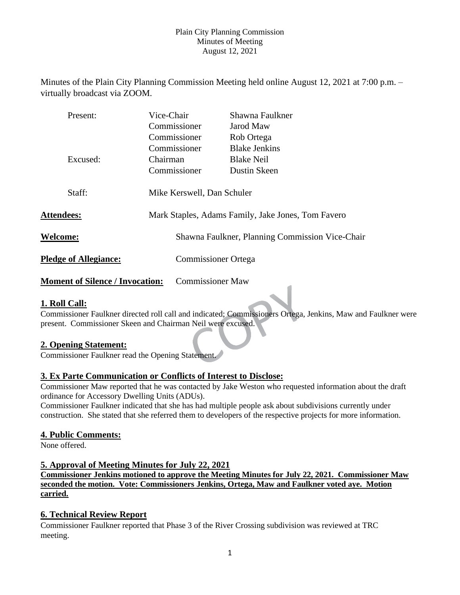Minutes of the Plain City Planning Commission Meeting held online August 12, 2021 at 7:00 p.m. – virtually broadcast via ZOOM.

| Present:                               |                                                                                  | Vice-Chair              | Shawna Faulkner                                 |
|----------------------------------------|----------------------------------------------------------------------------------|-------------------------|-------------------------------------------------|
|                                        |                                                                                  | Commissioner            | Jarod Maw                                       |
|                                        |                                                                                  | Commissioner            | Rob Ortega                                      |
|                                        |                                                                                  | Commissioner            | <b>Blake Jenkins</b>                            |
| Excused:                               | Chairman                                                                         |                         | <b>Blake Neil</b>                               |
|                                        |                                                                                  | Commissioner            | Dustin Skeen                                    |
| Staff:<br><b>Attendees:</b>            | Mike Kerswell, Dan Schuler<br>Mark Staples, Adams Family, Jake Jones, Tom Favero |                         |                                                 |
| <b>Welcome:</b>                        |                                                                                  |                         | Shawna Faulkner, Planning Commission Vice-Chair |
| <b>Pledge of Allegiance:</b>           |                                                                                  |                         | <b>Commissioner Ortega</b>                      |
| <b>Moment of Silence / Invocation:</b> |                                                                                  | <b>Commissioner Maw</b> |                                                 |

# **1. Roll Call:**

Commissioner Faulkner directed roll call and indicated; Commissioners Ortega, Jenkins, Maw and Faulkner were present. Commissioner Skeen and Chairman Neil were excused.

## **2. Opening Statement:**

Commissioner Faulkner read the Opening Statement.

## **3. Ex Parte Communication or Conflicts of Interest to Disclose:**

Commissioner Maw reported that he was contacted by Jake Weston who requested information about the draft ordinance for Accessory Dwelling Units (ADUs).

Commissioner Faulkner indicated that she has had multiple people ask about subdivisions currently under construction. She stated that she referred them to developers of the respective projects for more information.

## **4. Public Comments:**

None offered.

#### **5. Approval of Meeting Minutes for July 22, 2021**

**Commissioner Jenkins motioned to approve the Meeting Minutes for July 22, 2021. Commissioner Maw seconded the motion. Vote: Commissioners Jenkins, Ortega, Maw and Faulkner voted aye. Motion carried.**

## **6. Technical Review Report**

Commissioner Faulkner reported that Phase 3 of the River Crossing subdivision was reviewed at TRC meeting.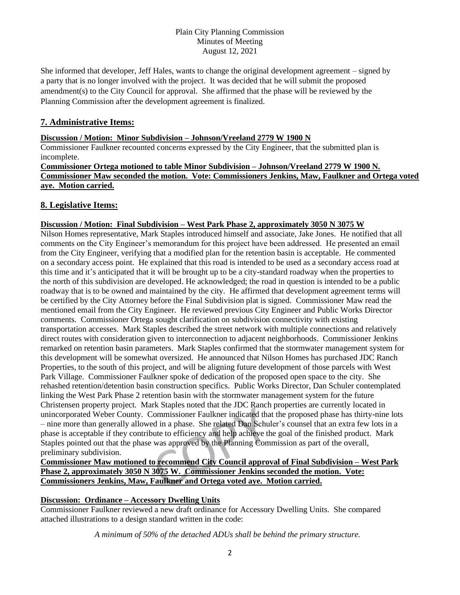She informed that developer, Jeff Hales, wants to change the original development agreement – signed by a party that is no longer involved with the project. It was decided that he will submit the proposed amendment(s) to the City Council for approval. She affirmed that the phase will be reviewed by the Planning Commission after the development agreement is finalized.

# **7. Administrative Items:**

### **Discussion / Motion: Minor Subdivision – Johnson/Vreeland 2779 W 1900 N**

Commissioner Faulkner recounted concerns expressed by the City Engineer, that the submitted plan is incomplete.

**Commissioner Ortega motioned to table Minor Subdivision – Johnson/Vreeland 2779 W 1900 N. Commissioner Maw seconded the motion. Vote: Commissioners Jenkins, Maw, Faulkner and Ortega voted aye. Motion carried.**

## **8. Legislative Items:**

### **Discussion / Motion: Final Subdivision – West Park Phase 2, approximately 3050 N 3075 W**

Nilson Homes representative, Mark Staples introduced himself and associate, Jake Jones. He notified that all comments on the City Engineer's memorandum for this project have been addressed. He presented an email from the City Engineer, verifying that a modified plan for the retention basin is acceptable. He commented on a secondary access point. He explained that this road is intended to be used as a secondary access road at this time and it's anticipated that it will be brought up to be a city-standard roadway when the properties to the north of this subdivision are developed. He acknowledged; the road in question is intended to be a public roadway that is to be owned and maintained by the city. He affirmed that development agreement terms will be certified by the City Attorney before the Final Subdivision plat is signed. Commissioner Maw read the mentioned email from the City Engineer. He reviewed previous City Engineer and Public Works Director comments. Commissioner Ortega sought clarification on subdivision connectivity with existing transportation accesses. Mark Staples described the street network with multiple connections and relatively direct routes with consideration given to interconnection to adjacent neighborhoods. Commissioner Jenkins remarked on retention basin parameters. Mark Staples confirmed that the stormwater management system for this development will be somewhat oversized. He announced that Nilson Homes has purchased JDC Ranch Properties, to the south of this project, and will be aligning future development of those parcels with West Park Village. Commissioner Faulkner spoke of dedication of the proposed open space to the city. She rehashed retention/detention basin construction specifics. Public Works Director, Dan Schuler contemplated linking the West Park Phase 2 retention basin with the stormwater management system for the future Christensen property project. Mark Staples noted that the JDC Ranch properties are currently located in unincorporated Weber County. Commissioner Faulkner indicated that the proposed phase has thirty-nine lots – nine more than generally allowed in a phase. She related Dan Schuler's counsel that an extra few lots in a phase is acceptable if they contribute to efficiency and help achieve the goal of the finished product. Mark Staples pointed out that the phase was approved by the Planning Commission as part of the overall, preliminary subdivision.

## **Commissioner Maw motioned to recommend City Council approval of Final Subdivision – West Park Phase 2, approximately 3050 N 3075 W. Commissioner Jenkins seconded the motion. Vote: Commissioners Jenkins, Maw, Faulkner and Ortega voted aye. Motion carried.**

## **Discussion: Ordinance – Accessory Dwelling Units**

Commissioner Faulkner reviewed a new draft ordinance for Accessory Dwelling Units. She compared attached illustrations to a design standard written in the code:

*A minimum of 50% of the detached ADUs shall be behind the primary structure.*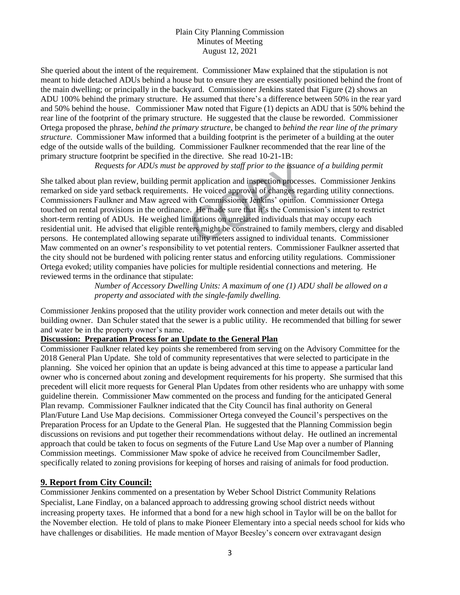She queried about the intent of the requirement. Commissioner Maw explained that the stipulation is not meant to hide detached ADUs behind a house but to ensure they are essentially positioned behind the front of the main dwelling; or principally in the backyard. Commissioner Jenkins stated that Figure (2) shows an ADU 100% behind the primary structure. He assumed that there's a difference between 50% in the rear yard and 50% behind the house. Commissioner Maw noted that Figure (1) depicts an ADU that is 50% behind the rear line of the footprint of the primary structure. He suggested that the clause be reworded. Commissioner Ortega proposed the phrase, *behind the primary structure,* be changed to *behind the rear line of the primary structure.* Commissioner Maw informed that a building footprint is the perimeter of a building at the outer edge of the outside walls of the building. Commissioner Faulkner recommended that the rear line of the primary structure footprint be specified in the directive. She read 10-21-1B:

*Requests for ADUs must be approved by staff prior to the issuance of a building permit*

She talked about plan review, building permit application and inspection processes. Commissioner Jenkins remarked on side yard setback requirements. He voiced approval of changes regarding utility connections. Commissioners Faulkner and Maw agreed with Commissioner Jenkins' opinion. Commissioner Ortega touched on rental provisions in the ordinance. He made sure that it's the Commission's intent to restrict short-term renting of ADUs. He weighed limitations on unrelated individuals that may occupy each residential unit. He advised that eligible renters might be constrained to family members, clergy and disabled persons. He contemplated allowing separate utility meters assigned to individual tenants. Commissioner Maw commented on an owner's responsibility to vet potential renters. Commissioner Faulkner asserted that the city should not be burdened with policing renter status and enforcing utility regulations. Commissioner Ortega evoked; utility companies have policies for multiple residential connections and metering. He reviewed terms in the ordinance that stipulate:

> *Number of Accessory Dwelling Units: A maximum of one (1) ADU shall be allowed on a property and associated with the single-family dwelling.*

Commissioner Jenkins proposed that the utility provider work connection and meter details out with the building owner. Dan Schuler stated that the sewer is a public utility. He recommended that billing for sewer and water be in the property owner's name.

### **Discussion: Preparation Process for an Update to the General Plan**

Commissioner Faulkner related key points she remembered from serving on the Advisory Committee for the 2018 General Plan Update. She told of community representatives that were selected to participate in the planning. She voiced her opinion that an update is being advanced at this time to appease a particular land owner who is concerned about zoning and development requirements for his property. She surmised that this precedent will elicit more requests for General Plan Updates from other residents who are unhappy with some guideline therein. Commissioner Maw commented on the process and funding for the anticipated General Plan revamp. Commissioner Faulkner indicated that the City Council has final authority on General Plan/Future Land Use Map decisions. Commissioner Ortega conveyed the Council's perspectives on the Preparation Process for an Update to the General Plan. He suggested that the Planning Commission begin discussions on revisions and put together their recommendations without delay. He outlined an incremental approach that could be taken to focus on segments of the Future Land Use Map over a number of Planning Commission meetings. Commissioner Maw spoke of advice he received from Councilmember Sadler, specifically related to zoning provisions for keeping of horses and raising of animals for food production.

## **9. Report from City Council:**

Commissioner Jenkins commented on a presentation by Weber School District Community Relations Specialist, Lane Findlay, on a balanced approach to addressing growing school district needs without increasing property taxes. He informed that a bond for a new high school in Taylor will be on the ballot for the November election. He told of plans to make Pioneer Elementary into a special needs school for kids who have challenges or disabilities. He made mention of Mayor Beesley's concern over extravagant design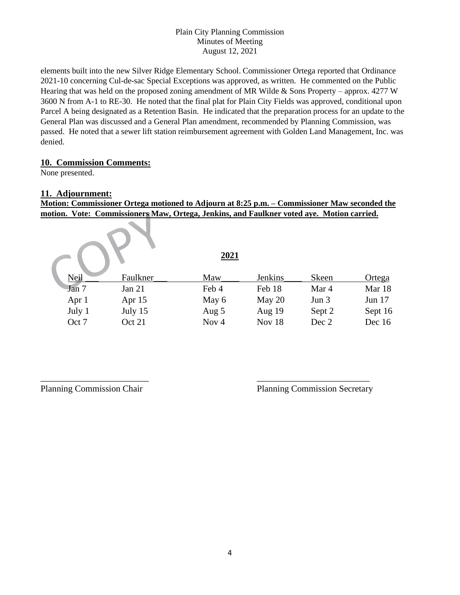elements built into the new Silver Ridge Elementary School. Commissioner Ortega reported that Ordinance 2021-10 concerning Cul-de-sac Special Exceptions was approved, as written. He commented on the Public Hearing that was held on the proposed zoning amendment of MR Wilde & Sons Property – approx. 4277 W 3600 N from A-1 to RE-30. He noted that the final plat for Plain City Fields was approved, conditional upon Parcel A being designated as a Retention Basin. He indicated that the preparation process for an update to the General Plan was discussed and a General Plan amendment, recommended by Planning Commission, was passed. He noted that a sewer lift station reimbursement agreement with Golden Land Management, Inc. was denied.

## **10. Commission Comments:**

 $\mathcal{L}_{\mathcal{N}}$ 

None presented.

## **11. Adjournment:**

**Motion: Commissioner Ortega motioned to Adjourn at 8:25 p.m. – Commissioner Maw seconded the motion. Vote: Commissioners Maw, Ortega, Jenkins, and Faulkner voted aye. Motion carried.**

|        |          | 2021             |                |        |               |
|--------|----------|------------------|----------------|--------|---------------|
| Neil   | Faulkner | Maw              | <b>Jenkins</b> | Skeen  | <u>Ortega</u> |
| Jan 7  | Jan $21$ | Feb 4            | Feb 18         | Mar 4  | Mar 18        |
| Apr 1  | Apr 15   | May 6            | May 20         | Jun 3  | Jun 17        |
| July 1 | July 15  | Aug 5            | Aug 19         | Sept 2 | Sept 16       |
| Oct 7  | Oct 21   | Nov <sub>4</sub> | Nov 18         | Dec 2  | Dec 16        |

 $\overline{\phantom{a}}$  , and the contract of the contract of the contract of the contract of the contract of the contract of the contract of the contract of the contract of the contract of the contract of the contract of the contrac

Planning Commission Chair Planning Commission Secretary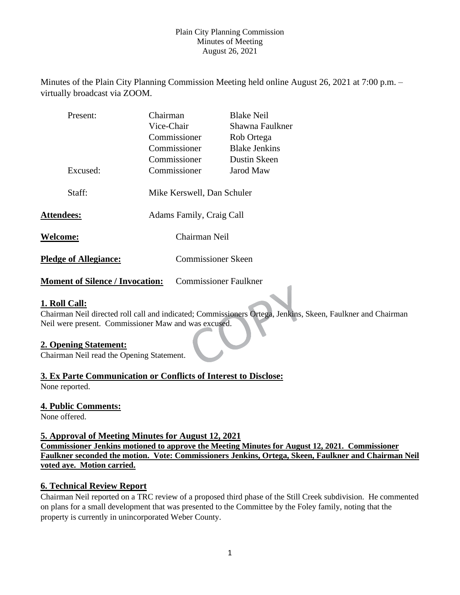Minutes of the Plain City Planning Commission Meeting held online August 26, 2021 at 7:00 p.m. – virtually broadcast via ZOOM.

| Present:                     | Chairman                   | <b>Blake Neil</b>    |  |
|------------------------------|----------------------------|----------------------|--|
|                              | Vice-Chair                 | Shawna Faulkner      |  |
|                              | Commissioner               | Rob Ortega           |  |
|                              | Commissioner               | <b>Blake Jenkins</b> |  |
|                              | Commissioner               | Dustin Skeen         |  |
| Excused:                     | Commissioner               | Jarod Maw            |  |
|                              |                            |                      |  |
| Staff:                       | Mike Kerswell, Dan Schuler |                      |  |
|                              |                            |                      |  |
| <b>Attendees:</b>            | Adams Family, Craig Call   |                      |  |
|                              |                            |                      |  |
| <b>Welcome:</b>              | Chairman Neil              |                      |  |
| <b>Pledge of Allegiance:</b> | <b>Commissioner Skeen</b>  |                      |  |
|                              |                            |                      |  |
|                              |                            |                      |  |

**Moment of Silence / Invocation:** Commissioner Faulkner

# **1. Roll Call:**

Chairman Neil directed roll call and indicated; Commissioners Ortega, Jenkins, Skeen, Faulkner and Chairman Neil were present. Commissioner Maw and was excused.

## **2. Opening Statement:**

Chairman Neil read the Opening Statement.

## **3. Ex Parte Communication or Conflicts of Interest to Disclose:**

None reported.

## **4. Public Comments:**

None offered.

## **5. Approval of Meeting Minutes for August 12, 2021**

**Commissioner Jenkins motioned to approve the Meeting Minutes for August 12, 2021. Commissioner Faulkner seconded the motion. Vote: Commissioners Jenkins, Ortega, Skeen, Faulkner and Chairman Neil voted aye. Motion carried.**

## **6. Technical Review Report**

Chairman Neil reported on a TRC review of a proposed third phase of the Still Creek subdivision. He commented on plans for a small development that was presented to the Committee by the Foley family, noting that the property is currently in unincorporated Weber County.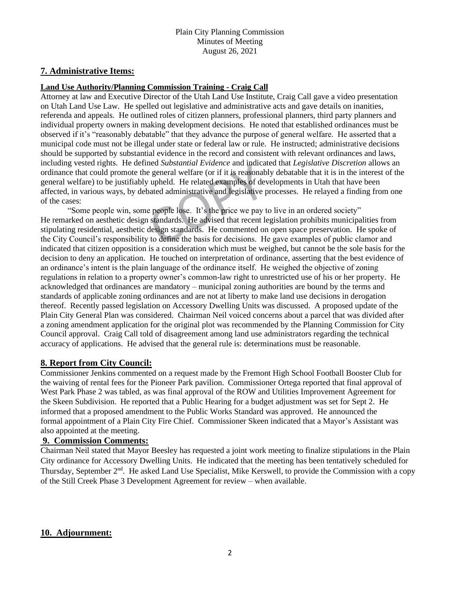## **7. Administrative Items:**

#### **Land Use Authority/Planning Commission Training - Craig Call**

Attorney at law and Executive Director of the Utah Land Use Institute, Craig Call gave a video presentation on Utah Land Use Law. He spelled out legislative and administrative acts and gave details on inanities, referenda and appeals. He outlined roles of citizen planners, professional planners, third party planners and individual property owners in making development decisions. He noted that established ordinances must be observed if it's "reasonably debatable" that they advance the purpose of general welfare. He asserted that a municipal code must not be illegal under state or federal law or rule. He instructed; administrative decisions should be supported by substantial evidence in the record and consistent with relevant ordinances and laws, including vested rights. He defined *Substantial Evidence* and indicated that *Legislative Discretion* allows an ordinance that could promote the general welfare (or if it is reasonably debatable that it is in the interest of the general welfare) to be justifiably upheld. He related examples of developments in Utah that have been affected, in various ways, by debated administrative and legislative processes. He relayed a finding from one of the cases:

"Some people win, some people lose. It's the price we pay to live in an ordered society" He remarked on aesthetic design standards. He advised that recent legislation prohibits municipalities from stipulating residential, aesthetic design standards. He commented on open space preservation. He spoke of the City Council's responsibility to define the basis for decisions. He gave examples of public clamor and indicated that citizen opposition is a consideration which must be weighed, but cannot be the sole basis for the decision to deny an application. He touched on interpretation of ordinance, asserting that the best evidence of an ordinance's intent is the plain language of the ordinance itself. He weighed the objective of zoning regulations in relation to a property owner's common-law right to unrestricted use of his or her property. He acknowledged that ordinances are mandatory – municipal zoning authorities are bound by the terms and standards of applicable zoning ordinances and are not at liberty to make land use decisions in derogation thereof. Recently passed legislation on Accessory Dwelling Units was discussed. A proposed update of the Plain City General Plan was considered. Chairman Neil voiced concerns about a parcel that was divided after a zoning amendment application for the original plot was recommended by the Planning Commission for City Council approval. Craig Call told of disagreement among land use administrators regarding the technical accuracy of applications. He advised that the general rule is: determinations must be reasonable.

## **8. Report from City Council:**

Commissioner Jenkins commented on a request made by the Fremont High School Football Booster Club for the waiving of rental fees for the Pioneer Park pavilion. Commissioner Ortega reported that final approval of West Park Phase 2 was tabled, as was final approval of the ROW and Utilities Improvement Agreement for the Skeen Subdivision. He reported that a Public Hearing for a budget adjustment was set for Sept 2. He informed that a proposed amendment to the Public Works Standard was approved. He announced the formal appointment of a Plain City Fire Chief. Commissioner Skeen indicated that a Mayor's Assistant was also appointed at the meeting.

#### **9. Commission Comments:**

Chairman Neil stated that Mayor Beesley has requested a joint work meeting to finalize stipulations in the Plain City ordinance for Accessory Dwelling Units. He indicated that the meeting has been tentatively scheduled for Thursday, September 2<sup>nd</sup>. He asked Land Use Specialist, Mike Kerswell, to provide the Commission with a copy of the Still Creek Phase 3 Development Agreement for review – when available.

## **10. Adjournment:**